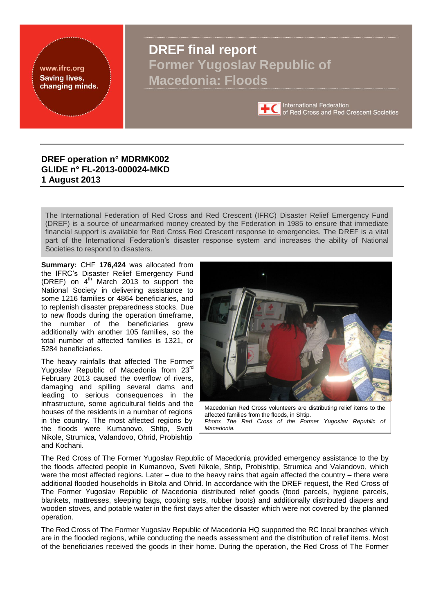<span id="page-0-0"></span>www.ifrc.org **Saving lives,** changing minds.

# **DREF final report Former Yugoslav Republic of Macedonia: Floods**



**International Federation** of Red Cross and Red Crescent Societies

### **DREF operation n° MDRMK002 GLIDE n° FL-2013-000024-MKD 1 August 2013**

The International Federation of Red Cross and Red Crescent (IFRC) Disaster Relief Emergency Fund (DREF) is a source of unearmarked money created by the Federation in 1985 to ensure that immediate financial support is available for Red Cross Red Crescent response to emergencies. The DREF is a vital part of the International Federation's disaster response system and increases the ability of National Societies to respond to disasters.

**Summary:** CHF **176,424** was allocated from the IFRC's Disaster Relief Emergency Fund (DREF) on 4<sup>th</sup> March 2013 to support the National Society in delivering assistance to some 1216 families or 4864 beneficiaries, and to replenish disaster preparedness stocks. Due to new floods during the operation timeframe, the number of the beneficiaries grew additionally with another 105 families, so the total number of affected families is 1321, or 5284 beneficiaries.

The heavy rainfalls that affected The Former Yugoslav Republic of Macedonia from 23<sup>rd</sup> February 2013 caused the overflow of rivers, damaging and spilling several dams and leading to serious consequences in the infrastructure, some agricultural fields and the houses of the residents in a number of regions in the country. The most affected regions by the floods were Kumanovo, Shtip, Sveti Nikole, Strumica, Valandovo, Ohrid, Probishtip and Kochani.



The Red Cross of The Former Yugoslav Republic of Macedonia provided emergency assistance to the by the floods affected people in Kumanovo, Sveti Nikole, Shtip, Probishtip, Strumica and Valandovo, which were the most affected regions. Later – due to the heavy rains that again affected the country – there were additional flooded households in Bitola and Ohrid. In accordance with the DREF request, the Red Cross of The Former Yugoslav Republic of Macedonia distributed relief goods (food parcels, hygiene parcels, blankets, mattresses, sleeping bags, cooking sets, rubber boots) and additionally distributed diapers and wooden stoves, and potable water in the first days after the disaster which were not covered by the planned operation.

The Red Cross of The Former Yugoslav Republic of Macedonia HQ supported the RC local branches which are in the flooded regions, while conducting the needs assessment and the distribution of relief items. Most of the beneficiaries received the goods in their home. During the operation, the Red Cross of The Former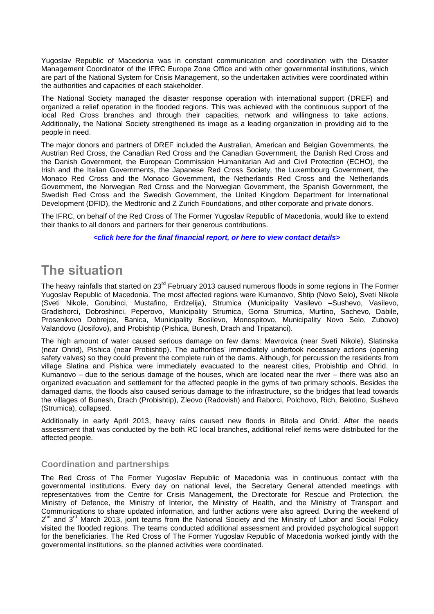Yugoslav Republic of Macedonia was in constant communication and coordination with the Disaster Management Coordinator of the IFRC Europe Zone Office and with other governmental institutions, which are part of the National System for Crisis Management, so the undertaken activities were coordinated within the authorities and capacities of each stakeholder.

The National Society managed the disaster response operation with international support (DREF) and organized a relief operation in the flooded regions. This was achieved with the continuous support of the local Red Cross branches and through their capacities, network and willingness to take actions. Additionally, the National Society strengthened its image as a leading organization in providing aid to the people in need.

The major donors and partners of DREF included the Australian, American and Belgian Governments, the Austrian Red Cross, the Canadian Red Cross and the Canadian Government, the Danish Red Cross and the Danish Government, the European Commission Humanitarian Aid and Civil Protection (ECHO), the Irish and the Italian Governments, the Japanese Red Cross Society, the Luxembourg Government, the Monaco Red Cross and the Monaco Government, the Netherlands Red Cross and the Netherlands Government, the Norwegian Red Cross and the Norwegian Government, the Spanish Government, the Swedish Red Cross and the Swedish Government, the United Kingdom Department for International Development (DFID), the Medtronic and Z Zurich Foundations, and other corporate and private donors.

The IFRC, on behalf of the Red Cross of The Former Yugoslav Republic of Macedonia, would like to extend their thanks to all donors and partners for their generous contributions.

*[<click here for the final financial report,](#page-17-0) [or here to view contact details>](#page-5-0)*

# **The situation**

The heavy rainfalls that started on 23<sup>rd</sup> February 2013 caused numerous floods in some regions in The Former Yugoslav Republic of Macedonia. The most affected regions were Kumanovo, Shtip (Novo Selo), Sveti Nikole (Sveti Nikole, Gorubinci, Mustafino, Erdzelija), Strumica (Municipality Vasilevo –Sushevo, Vasilevo, Gradishorci, Dobroshinci, Peperovo, Municipality Strumica, Gorna Strumica, Murtino, Sachevo, Dabile, Prosenikovo Dobrejce, Banica, Municipality Bosilevo, Monospitovo, Municipality Novo Selo, Zubovo) Valandovo (Josifovo), and Probishtip (Pishica, Bunesh, Drach and Tripatanci).

The high amount of water caused serious damage on few dams: Mavrovica (near Sveti Nikole), Slatinska (near Ohrid), Pishica (near Probishtip). The authorities' immediately undertook necessary actions (opening safety valves) so they could prevent the complete ruin of the dams. Although, for percussion the residents from village Slatina and Pishica were immediately evacuated to the nearest cities, Probishtip and Ohrid. In Kumanovo – due to the serious damage of the houses, which are located near the river – there was also an organized evacuation and settlement for the affected people in the gyms of two primary schools. Besides the damaged dams, the floods also caused serious damage to the infrastructure, so the bridges that lead towards the villages of Bunesh, Drach (Probishtip), Zleovo (Radovish) and Raborci, Polchovo, Rich, Belotino, Sushevo (Strumica), collapsed.

Additionally in early April 2013, heavy rains caused new floods in Bitola and Ohrid. After the needs assessment that was conducted by the both RC local branches, additional relief items were distributed for the affected people.

### **Coordination and partnerships**

The Red Cross of The Former Yugoslav Republic of Macedonia was in continuous contact with the governmental institutions. Every day on national level, the Secretary General attended meetings with representatives from the Centre for Crisis Management, the Directorate for Rescue and Protection, the Ministry of Defence, the Ministry of Interior, the Ministry of Health, and the Ministry of Transport and Communications to share updated information, and further actions were also agreed. During the weekend of 2<sup>nd</sup> and 3<sup>rd</sup> March 2013, joint teams from the National Society and the Ministry of Labor and Social Policy visited the flooded regions. The teams conducted additional assessment and provided psychological support for the beneficiaries. The Red Cross of The Former Yugoslav Republic of Macedonia worked jointly with the governmental institutions, so the planned activities were coordinated.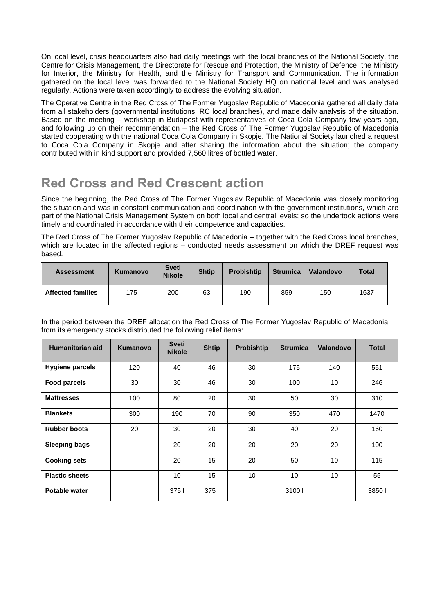On local level, crisis headquarters also had daily meetings with the local branches of the National Society, the Centre for Crisis Management, the Directorate for Rescue and Protection, the Ministry of Defence, the Ministry for Interior, the Ministry for Health, and the Ministry for Transport and Communication. The information gathered on the local level was forwarded to the National Society HQ on national level and was analysed regularly. Actions were taken accordingly to address the evolving situation.

The Operative Centre in the Red Cross of The Former Yugoslav Republic of Macedonia gathered all daily data from all stakeholders (governmental institutions, RC local branches), and made daily analysis of the situation. Based on the meeting – workshop in Budapest with representatives of Coca Cola Company few years ago, and following up on their recommendation – the Red Cross of The Former Yugoslav Republic of Macedonia started cooperating with the national Coca Cola Company in Skopje. The National Society launched a request to Coca Cola Company in Skopje and after sharing the information about the situation; the company contributed with in kind support and provided 7,560 litres of bottled water.

# **Red Cross and Red Crescent action**

Since the beginning, the Red Cross of The Former Yugoslav Republic of Macedonia was closely monitoring the situation and was in constant communication and coordination with the government institutions, which are part of the National Crisis Management System on both local and central levels; so the undertook actions were timely and coordinated in accordance with their competence and capacities.

The Red Cross of The Former Yugoslav Republic of Macedonia – together with the Red Cross local branches, which are located in the affected regions – conducted needs assessment on which the DREF request was based.

| <b>Assessment</b>        | Kumanovo | <b>Sveti</b><br><b>Nikole</b> | <b>Shtip</b> | <b>Probishtip</b> | <b>Strumica</b> | Valandovo | <b>Total</b> |  |
|--------------------------|----------|-------------------------------|--------------|-------------------|-----------------|-----------|--------------|--|
| <b>Affected families</b> | 175      | 200                           | 63           | 190               | 859             | 150       | 1637         |  |

In the period between the DREF allocation the Red Cross of The Former Yugoslav Republic of Macedonia from its emergency stocks distributed the following relief items:

| Humanitarian aid       | Kumanovo | <b>Sveti</b><br><b>Nikole</b> | <b>Shtip</b> | <b>Probishtip</b> | <b>Strumica</b> | Valandovo | <b>Total</b> |
|------------------------|----------|-------------------------------|--------------|-------------------|-----------------|-----------|--------------|
| <b>Hygiene parcels</b> | 120      | 40                            | 46           | 30                | 175             | 140       | 551          |
| <b>Food parcels</b>    | 30       | 30                            | 46           | 30                | 100             | 10        | 246          |
| <b>Mattresses</b>      | 100      | 80                            | 20           | 30                | 50              | 30        | 310          |
| <b>Blankets</b>        | 300      | 190                           | 70           | 90                | 350             | 470       | 1470         |
| <b>Rubber boots</b>    | 20       | 30                            | 20           | 30                | 40              | 20        | 160          |
| <b>Sleeping bags</b>   |          | 20                            | 20           | 20                | 20              | 20        | 100          |
| <b>Cooking sets</b>    |          | 20                            | 15           | 20                | 50              | 10        | 115          |
| <b>Plastic sheets</b>  |          | 10                            | 15           | 10                | 10              | 10        | 55           |
| <b>Potable water</b>   |          | 3751                          | 3751         |                   | 31001           |           | 38501        |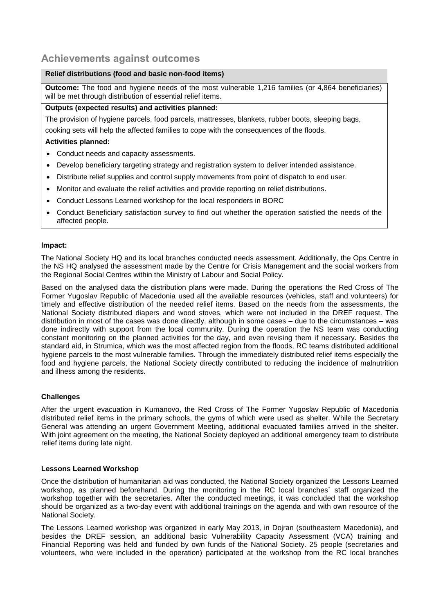### **Achievements against outcomes**

#### **Relief distributions (food and basic non-food items)**

**Outcome:** The food and hygiene needs of the most vulnerable 1,216 families (or 4,864 beneficiaries) will be met through distribution of essential relief items.

#### **Outputs (expected results) and activities planned:**

The provision of hygiene parcels, food parcels, mattresses, blankets, rubber boots, sleeping bags,

cooking sets will help the affected families to cope with the consequences of the floods.

#### **Activities planned:**

- Conduct needs and capacity assessments.
- Develop beneficiary targeting strategy and registration system to deliver intended assistance.
- Distribute relief supplies and control supply movements from point of dispatch to end user.
- Monitor and evaluate the relief activities and provide reporting on relief distributions.
- Conduct Lessons Learned workshop for the local responders in BORC
- Conduct Beneficiary satisfaction survey to find out whether the operation satisfied the needs of the affected people.

#### **Impact:**

The National Society HQ and its local branches conducted needs assessment. Additionally, the Ops Centre in the NS HQ analysed the assessment made by the Centre for Crisis Management and the social workers from the Regional Social Centres within the Ministry of Labour and Social Policy.

Based on the analysed data the distribution plans were made. During the operations the Red Cross of The Former Yugoslav Republic of Macedonia used all the available resources (vehicles, staff and volunteers) for timely and effective distribution of the needed relief items. Based on the needs from the assessments, the National Society distributed diapers and wood stoves, which were not included in the DREF request. The distribution in most of the cases was done directly, although in some cases – due to the circumstances – was done indirectly with support from the local community. During the operation the NS team was conducting constant monitoring on the planned activities for the day, and even revising them if necessary. Besides the standard aid, in Strumica, which was the most affected region from the floods, RC teams distributed additional hygiene parcels to the most vulnerable families. Through the immediately distributed relief items especially the food and hygiene parcels, the National Society directly contributed to reducing the incidence of malnutrition and illness among the residents.

#### **Challenges**

After the urgent evacuation in Kumanovo, the Red Cross of The Former Yugoslav Republic of Macedonia distributed relief items in the primary schools, the gyms of which were used as shelter. While the Secretary General was attending an urgent Government Meeting, additional evacuated families arrived in the shelter. With joint agreement on the meeting, the National Society deployed an additional emergency team to distribute relief items during late night.

#### **Lessons Learned Workshop**

Once the distribution of humanitarian aid was conducted, the National Society organized the Lessons Learned workshop, as planned beforehand. During the monitoring in the RC local branches` staff organized the workshop together with the secretaries. After the conducted meetings, it was concluded that the workshop should be organized as a two-day event with additional trainings on the agenda and with own resource of the National Society.

The Lessons Learned workshop was organized in early May 2013, in Dojran (southeastern Macedonia), and besides the DREF session, an additional basic Vulnerability Capacity Assessment (VCA) training and Financial Reporting was held and funded by own funds of the National Society. 25 people (secretaries and volunteers, who were included in the operation) participated at the workshop from the RC local branches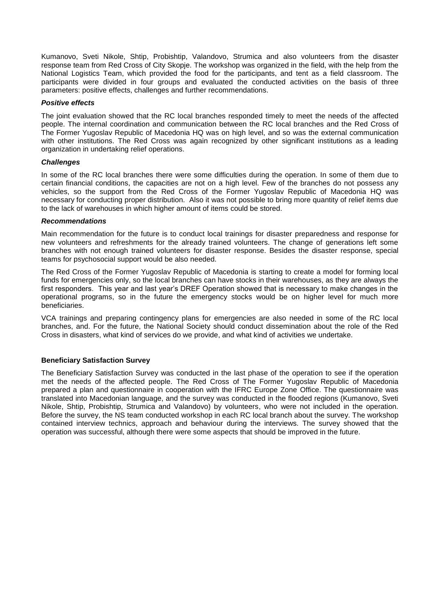Kumanovo, Sveti Nikole, Shtip, Probishtip, Valandovo, Strumica and also volunteers from the disaster response team from Red Cross of City Skopje. The workshop was organized in the field, with the help from the National Logistics Team, which provided the food for the participants, and tent as a field classroom. The participants were divided in four groups and evaluated the conducted activities on the basis of three parameters: positive effects, challenges and further recommendations.

#### *Positive effects*

The joint evaluation showed that the RC local branches responded timely to meet the needs of the affected people. The internal coordination and communication between the RC local branches and the Red Cross of The Former Yugoslav Republic of Macedonia HQ was on high level, and so was the external communication with other institutions. The Red Cross was again recognized by other significant institutions as a leading organization in undertaking relief operations.

#### *Challenges*

In some of the RC local branches there were some difficulties during the operation. In some of them due to certain financial conditions, the capacities are not on a high level. Few of the branches do not possess any vehicles, so the support from the Red Cross of the Former Yugoslav Republic of Macedonia HQ was necessary for conducting proper distribution. Also it was not possible to bring more quantity of relief items due to the lack of warehouses in which higher amount of items could be stored.

#### *Recommendations*

Main recommendation for the future is to conduct local trainings for disaster preparedness and response for new volunteers and refreshments for the already trained volunteers. The change of generations left some branches with not enough trained volunteers for disaster response. Besides the disaster response, special teams for psychosocial support would be also needed.

The Red Cross of the Former Yugoslav Republic of Macedonia is starting to create a model for forming local funds for emergencies only, so the local branches can have stocks in their warehouses, as they are always the first responders. This year and last year's DREF Operation showed that is necessary to make changes in the operational programs, so in the future the emergency stocks would be on higher level for much more beneficiaries.

VCA trainings and preparing contingency plans for emergencies are also needed in some of the RC local branches, and. For the future, the National Society should conduct dissemination about the role of the Red Cross in disasters, what kind of services do we provide, and what kind of activities we undertake.

#### **Beneficiary Satisfaction Survey**

The Beneficiary Satisfaction Survey was conducted in the last phase of the operation to see if the operation met the needs of the affected people. The Red Cross of The Former Yugoslav Republic of Macedonia prepared a plan and questionnaire in cooperation with the IFRC Europe Zone Office. The questionnaire was translated into Macedonian language, and the survey was conducted in the flooded regions (Kumanovo, Sveti Nikole, Shtip, Probishtip, Strumica and Valandovo) by volunteers, who were not included in the operation. Before the survey, the NS team conducted workshop in each RC local branch about the survey. The workshop contained interview technics, approach and behaviour during the interviews. The survey showed that the operation was successful, although there were some aspects that should be improved in the future.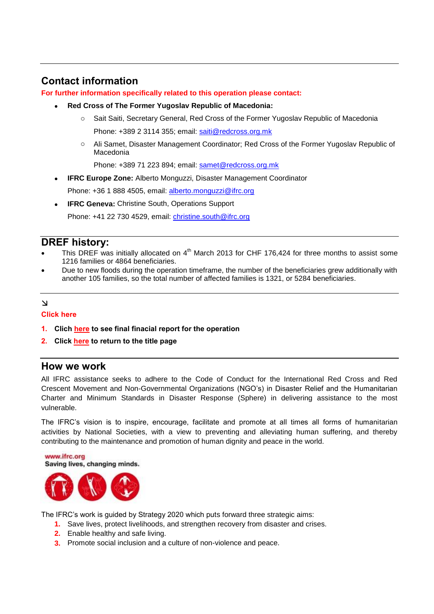## <span id="page-5-0"></span>**Contact information**

**For further information specifically related to this operation please contact:**

- **Red Cross of The Former Yugoslav Republic of Macedonia:**
	- o Sait Saiti, Secretary General, Red Cross of the Former Yugoslav Republic of Macedonia Phone: +389 2 3114 355; email: [saiti@redcross.org.mk](mailto:saiti@redcross.org.mk)
	- o Ali Samet, Disaster Management Coordinator; Red Cross of the Former Yugoslav Republic of Macedonia

Phone: +389 71 223 894; email: [samet@redcross.org.mk](mailto:samet@redcross.org.mk)

- **IFRC Europe Zone:** Alberto Monguzzi, Disaster Management Coordinator Phone: +36 1 888 4505, email: [alberto.monguzzi@ifrc.org](mailto:alberto.monguzzi@ifrc.org)
- **IFRC Geneva:** Christine South, Operations Support Phone: +41 22 730 4529, email: [christine.south@ifrc.org](mailto:christine.south@ifrc.org)

### **DREF history:**

- This DREF was initially allocated on  $4^{\text{th}}$  March 2013 for CHF 176,424 for three months to assist some 1216 families or 4864 beneficiaries.
- Due to new floods during the operation timeframe, the number of the beneficiaries grew additionally with another 105 families, so the total number of affected families is 1321, or 5284 beneficiaries.

### $\Delta$

### **Click here**

- **1. Clich here [to see final finacial report for the operation](#page-17-0)**
- **2. Click here [to return to the title page](#page-0-0)**

### **How we work**

All IFRC assistance seeks to adhere to the Code of Conduct for the International Red Cross and Red Crescent Movement and Non-Governmental Organizations (NGO's) in Disaster Relief and the Humanitarian Charter and Minimum Standards in Disaster Response (Sphere) in delivering assistance to the most vulnerable.

The IFRC's vision is to inspire, encourage, facilitate and promote at all times all forms of humanitarian activities by National Societies, with a view to preventing and alleviating human suffering, and thereby contributing to the maintenance and promotion of human dignity and peace in the world.

www.ifrc.org Saving lives, changing minds.



The IFRC's work is guided by Strategy 2020 which puts forward three strategic aims:

- **1.** Save lives, protect livelihoods, and strengthen recovery from disaster and crises.
- **2.** Enable healthy and safe living.
- **3.** Promote social inclusion and a culture of non-violence and peace.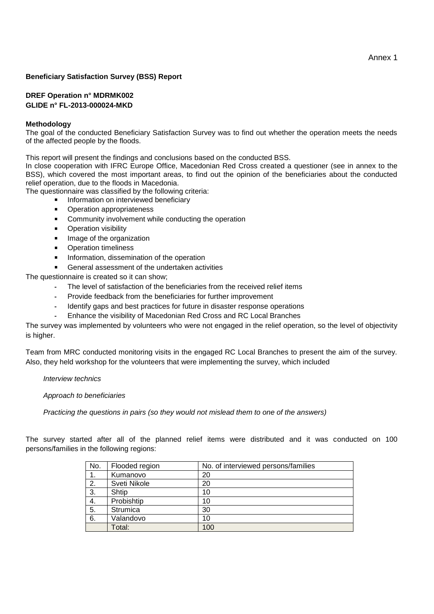#### **Beneficiary Satisfaction Survey (BSS) Report**

#### **DREF Operation n° MDRMK002 GLIDE n° FL-2013-000024-MKD**

#### **Methodology**

The goal of the conducted Beneficiary Satisfaction Survey was to find out whether the operation meets the needs of the affected people by the floods.

This report will present the findings and conclusions based on the conducted BSS.

In close cooperation with IFRC Europe Office, Macedonian Red Cross created a questioner (see in annex to the BSS), which covered the most important areas, to find out the opinion of the beneficiaries about the conducted relief operation, due to the floods in Macedonia.

The questionnaire was classified by the following criteria:

- Information on interviewed beneficiary
	- **•** Operation appropriateness
	- **EXECOMMUNITY INVOLVEMENT While conducting the operation**
	- **•** Operation visibility
	- **Image of the organization**
	- **•** Operation timeliness
	- **Information, dissemination of the operation**

General assessment of the undertaken activities

The questionnaire is created so it can show;

- **-** The level of satisfaction of the beneficiaries from the received relief items
- **-** Provide feedback from the beneficiaries for further improvement
- **-** Identify gaps and best practices for future in disaster response operations
- **-** Enhance the visibility of Macedonian Red Cross and RC Local Branches

The survey was implemented by volunteers who were not engaged in the relief operation, so the level of objectivity is higher.

Team from MRC conducted monitoring visits in the engaged RC Local Branches to present the aim of the survey. Also, they held workshop for the volunteers that were implementing the survey, which included

*Interview technics* 

*Approach to beneficiaries* 

*Practicing the questions in pairs (so they would not mislead them to one of the answers)* 

The survey started after all of the planned relief items were distributed and it was conducted on 100 persons/families in the following regions:

| No. | Flooded region  | No. of interviewed persons/families |
|-----|-----------------|-------------------------------------|
|     | Kumanovo        | 20                                  |
| 2.  | Sveti Nikole    | 20                                  |
| 3.  | Shtip           | 10                                  |
| 4.  | Probishtip      | 10                                  |
| 5.  | <b>Strumica</b> | 30                                  |
| 6.  | Valandovo       | 10                                  |
|     | Total:          | 100                                 |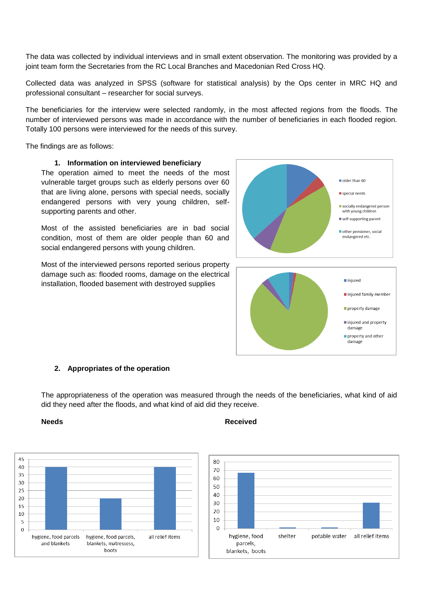The data was collected by individual interviews and in small extent observation. The monitoring was provided by a joint team form the Secretaries from the RC Local Branches and Macedonian Red Cross HQ.

Collected data was analyzed in SPSS (software for statistical analysis) by the Ops center in MRC HQ and professional consultant – researcher for social surveys.

The beneficiaries for the interview were selected randomly, in the most affected regions from the floods. The number of interviewed persons was made in accordance with the number of beneficiaries in each flooded region. Totally 100 persons were interviewed for the needs of this survey.

The findings are as follows:

#### **1. Information on interviewed beneficiary**

The operation aimed to meet the needs of the most vulnerable target groups such as elderly persons over 60 that are living alone, persons with special needs, socially endangered persons with very young children, selfsupporting parents and other.

Most of the assisted beneficiaries are in bad social condition, most of them are older people than 60 and social endangered persons with young children.

Most of the interviewed persons reported serious property damage such as: flooded rooms, damage on the electrical installation, flooded basement with destroyed supplies



#### **2. Appropriates of the operation**

The appropriateness of the operation was measured through the needs of the beneficiaries, what kind of aid did they need after the floods, and what kind of aid did they receive.



#### **Needs** Received **Received**

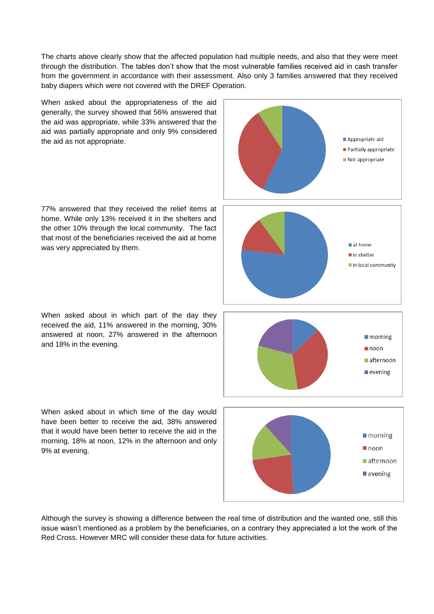The charts above clearly show that the affected population had multiple needs, and also that they were meet through the distribution. The tables don't show that the most vulnerable families received aid in cash transfer from the government in accordance with their assessment. Also only 3 families answered that they received baby diapers which were not covered with the DREF Operation.

When asked about the appropriateness of the aid generally, the survey showed that 56% answered that the aid was appropriate, while 33% answered that the aid was partially appropriate and only 9% considered the aid as not appropriate.

77% answered that they received the relief items at home. While only 13% received it in the shelters and the other 10% through the local community. The fact that most of the beneficiaries received the aid at home was very appreciated by them.

When asked about in which part of the day they received the aid, 11% answered in the morning, 30% answered at noon, 27% answered in the afternoon and 18% in the evening.

When asked about in which time of the day would have been better to receive the aid, 38% answered that it would have been better to receive the aid in the morning, 18% at noon, 12% in the afternoon and only 9% at evening.









Although the survey is showing a difference between the real time of distribution and the wanted one, still this issue wasn't mentioned as a problem by the beneficiaries, on a contrary they appreciated a lot the work of the Red Cross. However MRC will consider these data for future activities.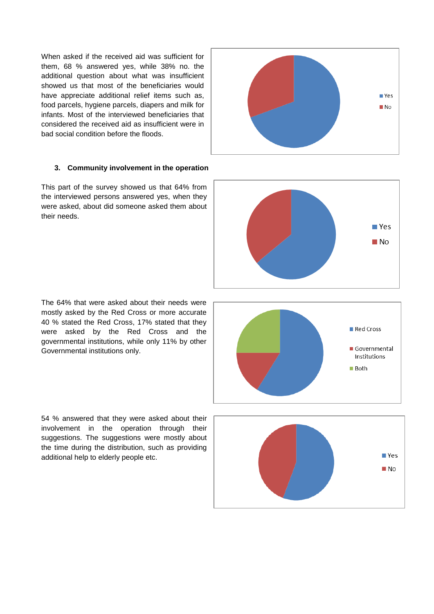When asked if the received aid was sufficient for them, 68 % answered yes, while 38% no. the additional question about what was insufficient showed us that most of the beneficiaries would have appreciate additional relief items such as, food parcels, hygiene parcels, diapers and milk for infants. Most of the interviewed beneficiaries that considered the received aid as insufficient were in bad social condition before the floods.

#### **3. Community involvement in the operation**

This part of the survey showed us that 64% from the interviewed persons answered yes, when they were asked, about did someone asked them about their needs.

The 64% that were asked about their needs were mostly asked by the Red Cross or more accurate 40 % stated the Red Cross, 17% stated that they were asked by the Red Cross and the governmental institutions, while only 11% by other Governmental institutions only.

54 % answered that they were asked about their involvement in the operation through their suggestions. The suggestions were mostly about the time during the distribution, such as providing additional help to elderly people etc.



Red Cross





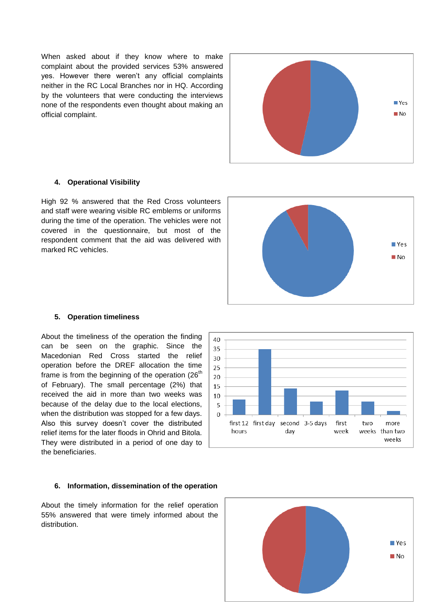When asked about if they know where to make complaint about the provided services 53% answered yes. However there weren't any official complaints neither in the RC Local Branches nor in HQ. According by the volunteers that were conducting the interviews none of the respondents even thought about making an official complaint.



#### **4. Operational Visibility**

High 92 % answered that the Red Cross volunteers and staff were wearing visible RC emblems or uniforms during the time of the operation. The vehicles were not covered in the questionnaire, but most of the respondent comment that the aid was delivered with marked RC vehicles.



#### **5. Operation timeliness**

About the timeliness of the operation the finding can be seen on the graphic. Since the Macedonian Red Cross started the relief operation before the DREF allocation the time frame is from the beginning of the operation  $(26<sup>th</sup>)$ of February). The small percentage (2%) that received the aid in more than two weeks was because of the delay due to the local elections, when the distribution was stopped for a few days. Also this survey doesn't cover the distributed relief items for the later floods in Ohrid and Bitola. They were distributed in a period of one day to the beneficiaries.

#### 30 25 20 15 10 5  $\Omega$ first 12 first day second 3-5 days first two more hours day week weeks than two weeks

40 35

#### **6. Information, dissemination of the operation**

About the timely information for the relief operation 55% answered that were timely informed about the distribution.

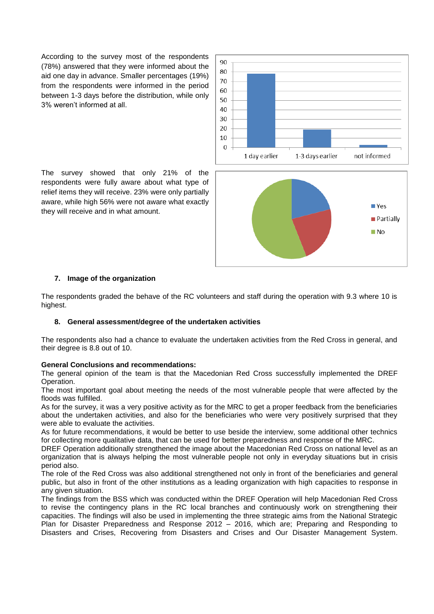According to the survey most of the respondents (78%) answered that they were informed about the aid one day in advance. Smaller percentages (19%) from the respondents were informed in the period between 1-3 days before the distribution, while only 3% weren't informed at all.

90 80 70 60 50  $40$ 30 20 10  $\Omega$ 1 day earlier 1-3 days earlier not informed

The survey showed that only 21% of the respondents were fully aware about what type of relief items they will receive. 23% were only partially aware, while high 56% were not aware what exactly they will receive and in what amount.



#### **7. Image of the organization**

The respondents graded the behave of the RC volunteers and staff during the operation with 9.3 where 10 is highest.

#### **8. General assessment/degree of the undertaken activities**

The respondents also had a chance to evaluate the undertaken activities from the Red Cross in general, and their degree is 8.8 out of 10.

#### **General Conclusions and recommendations:**

The general opinion of the team is that the Macedonian Red Cross successfully implemented the DREF Operation.

The most important goal about meeting the needs of the most vulnerable people that were affected by the floods was fulfilled.

As for the survey, it was a very positive activity as for the MRC to get a proper feedback from the beneficiaries about the undertaken activities, and also for the beneficiaries who were very positively surprised that they were able to evaluate the activities.

As for future recommendations, it would be better to use beside the interview, some additional other technics for collecting more qualitative data, that can be used for better preparedness and response of the MRC.

DREF Operation additionally strengthened the image about the Macedonian Red Cross on national level as an organization that is always helping the most vulnerable people not only in everyday situations but in crisis period also.

The role of the Red Cross was also additional strengthened not only in front of the beneficiaries and general public, but also in front of the other institutions as a leading organization with high capacities to response in any given situation.

The findings from the BSS which was conducted within the DREF Operation will help Macedonian Red Cross to revise the contingency plans in the RC local branches and continuously work on strengthening their capacities. The findings will also be used in implementing the three strategic aims from the National Strategic Plan for Disaster Preparedness and Response 2012 – 2016, which are; Preparing and Responding to Disasters and Crises, Recovering from Disasters and Crises and Our Disaster Management System.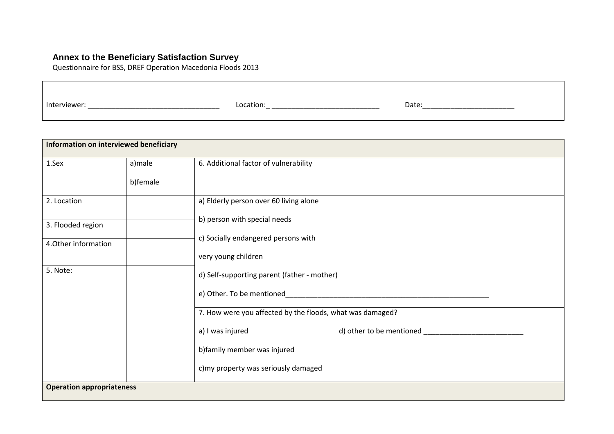### **Annex to the Beneficiary Satisfaction Survey**

Questionnaire for BSS, DREF Operation Macedonia Floods 2013

| Interviewer <sup>.</sup> | Location <sup>-</sup> | Date: |
|--------------------------|-----------------------|-------|
|                          |                       |       |

| Information on interviewed beneficiary |          |                                                           |
|----------------------------------------|----------|-----------------------------------------------------------|
| 1.Sex                                  | a)male   | 6. Additional factor of vulnerability                     |
|                                        | b)female |                                                           |
| 2. Location                            |          | a) Elderly person over 60 living alone                    |
| 3. Flooded region                      |          | b) person with special needs                              |
| 4. Other information                   |          | c) Socially endangered persons with                       |
|                                        |          | very young children                                       |
| 5. Note:                               |          | d) Self-supporting parent (father - mother)               |
|                                        |          | e) Other. To be mentioned                                 |
|                                        |          | 7. How were you affected by the floods, what was damaged? |
|                                        |          | a) I was injured                                          |
|                                        |          | b)family member was injured                               |
|                                        |          | c) my property was seriously damaged                      |
| <b>Operation appropriateness</b>       |          |                                                           |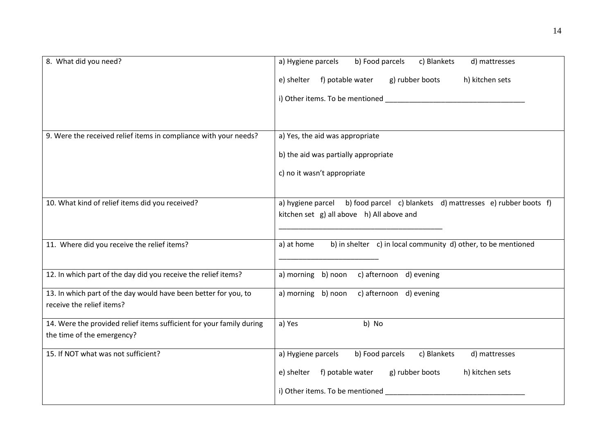| 8. What did you need?                                                | b) Food parcels<br>c) Blankets<br>d) mattresses<br>a) Hygiene parcels            |
|----------------------------------------------------------------------|----------------------------------------------------------------------------------|
|                                                                      | f) potable water<br>g) rubber boots<br>h) kitchen sets<br>e) shelter             |
|                                                                      |                                                                                  |
|                                                                      |                                                                                  |
| 9. Were the received relief items in compliance with your needs?     | a) Yes, the aid was appropriate                                                  |
|                                                                      |                                                                                  |
|                                                                      | b) the aid was partially appropriate                                             |
|                                                                      | c) no it wasn't appropriate                                                      |
|                                                                      |                                                                                  |
| 10. What kind of relief items did you received?                      | b) food parcel c) blankets d) mattresses e) rubber boots f)<br>a) hygiene parcel |
|                                                                      | kitchen set g) all above h) All above and                                        |
|                                                                      |                                                                                  |
| 11. Where did you receive the relief items?                          | b) in shelter c) in local community d) other, to be mentioned<br>a) at home      |
|                                                                      |                                                                                  |
| 12. In which part of the day did you receive the relief items?       | a) morning b) noon c) afternoon d) evening                                       |
| 13. In which part of the day would have been better for you, to      | a) morning b) noon c) afternoon d) evening                                       |
| receive the relief items?                                            |                                                                                  |
| 14. Were the provided relief items sufficient for your family during | b) No<br>a) Yes                                                                  |
| the time of the emergency?                                           |                                                                                  |
| 15. If NOT what was not sufficient?                                  | a) Hygiene parcels<br>b) Food parcels<br>c) Blankets<br>d) mattresses            |
|                                                                      | f) potable water<br>g) rubber boots<br>h) kitchen sets<br>e) shelter             |
|                                                                      | i) Other items. To be mentioned                                                  |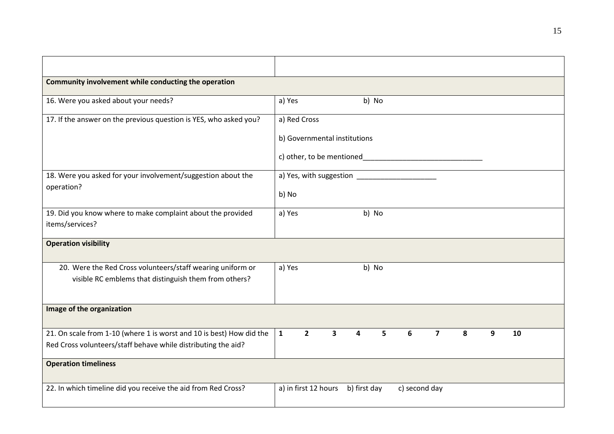| Community involvement while conducting the operation                 |              |                      |                              |              |       |               |                |   |   |    |  |
|----------------------------------------------------------------------|--------------|----------------------|------------------------------|--------------|-------|---------------|----------------|---|---|----|--|
| 16. Were you asked about your needs?                                 | a) Yes       |                      |                              |              | b) No |               |                |   |   |    |  |
| 17. If the answer on the previous question is YES, who asked you?    | a) Red Cross |                      |                              |              |       |               |                |   |   |    |  |
|                                                                      |              |                      | b) Governmental institutions |              |       |               |                |   |   |    |  |
|                                                                      |              |                      | c) other, to be mentioned    |              |       |               |                |   |   |    |  |
| 18. Were you asked for your involvement/suggestion about the         |              |                      | a) Yes, with suggestion      |              |       |               |                |   |   |    |  |
| operation?                                                           | b) No        |                      |                              |              |       |               |                |   |   |    |  |
| 19. Did you know where to make complaint about the provided          | a) Yes       |                      |                              |              | b) No |               |                |   |   |    |  |
| items/services?                                                      |              |                      |                              |              |       |               |                |   |   |    |  |
| <b>Operation visibility</b>                                          |              |                      |                              |              |       |               |                |   |   |    |  |
| 20. Were the Red Cross volunteers/staff wearing uniform or           | a) Yes       |                      |                              |              | b) No |               |                |   |   |    |  |
| visible RC emblems that distinguish them from others?                |              |                      |                              |              |       |               |                |   |   |    |  |
|                                                                      |              |                      |                              |              |       |               |                |   |   |    |  |
| Image of the organization                                            |              |                      |                              |              |       |               |                |   |   |    |  |
| 21. On scale from 1-10 (where 1 is worst and 10 is best) How did the | $\mathbf{1}$ | $\overline{2}$       | $\overline{\mathbf{3}}$      | 4            | 5     | 6             | $\overline{7}$ | 8 | 9 | 10 |  |
| Red Cross volunteers/staff behave while distributing the aid?        |              |                      |                              |              |       |               |                |   |   |    |  |
| <b>Operation timeliness</b>                                          |              |                      |                              |              |       |               |                |   |   |    |  |
| 22. In which timeline did you receive the aid from Red Cross?        |              | a) in first 12 hours |                              | b) first day |       | c) second day |                |   |   |    |  |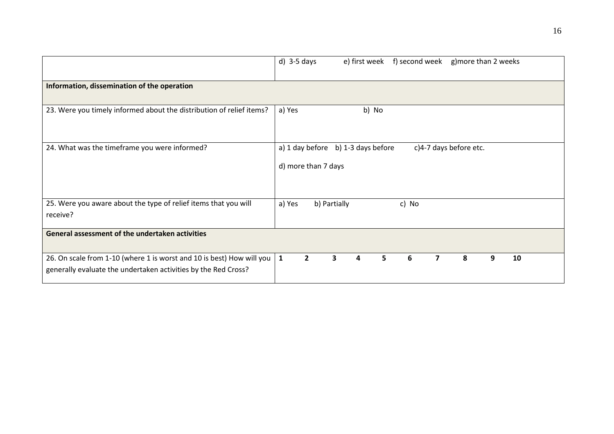|                                                                                                                                         | $d)$ 3-5 days<br>f) second week g) more than 2 weeks<br>e) first week               |
|-----------------------------------------------------------------------------------------------------------------------------------------|-------------------------------------------------------------------------------------|
| Information, dissemination of the operation                                                                                             |                                                                                     |
| 23. Were you timely informed about the distribution of relief items?                                                                    | a) Yes<br>b) No                                                                     |
| 24. What was the timeframe you were informed?                                                                                           | a) 1 day before b) 1-3 days before<br>c)4-7 days before etc.<br>d) more than 7 days |
| 25. Were you aware about the type of relief items that you will<br>receive?                                                             | b) Partially<br>c) No<br>a) Yes                                                     |
| General assessment of the undertaken activities                                                                                         |                                                                                     |
| 26. On scale from 1-10 (where 1 is worst and 10 is best) How will you<br>generally evaluate the undertaken activities by the Red Cross? | $\overline{2}$<br>6<br>8<br>9<br>10<br>$\mathbf{1}$<br>3<br>5.<br>7<br>4            |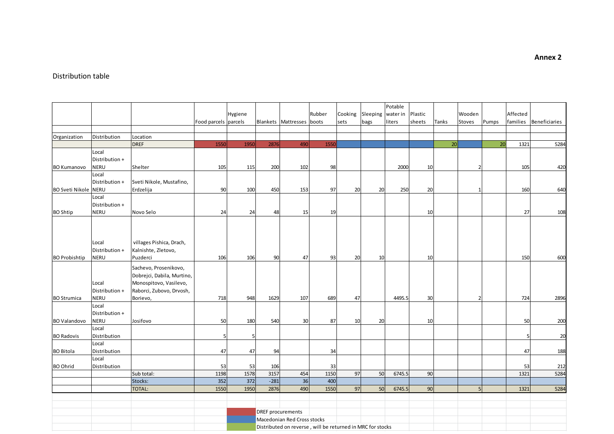#### Distribution table

|                             |                |                            |                      |         |        |                             |                                                            |         |          | Potable  |         |       |                |       |          |                      |
|-----------------------------|----------------|----------------------------|----------------------|---------|--------|-----------------------------|------------------------------------------------------------|---------|----------|----------|---------|-------|----------------|-------|----------|----------------------|
|                             |                |                            |                      | Hygiene |        |                             | Rubber                                                     | Cooking | Sleeping | water in | Plastic |       | Wooden         |       | Affected |                      |
|                             |                |                            | Food parcels parcels |         |        | Blankets Mattresses         | boots                                                      | sets    | bags     | liters   | sheets  | Tanks | Stoves         | Pumps | families | <b>Beneficiaries</b> |
|                             |                |                            |                      |         |        |                             |                                                            |         |          |          |         |       |                |       |          |                      |
| Organization                | Distribution   | Location                   |                      |         |        |                             |                                                            |         |          |          |         |       |                |       |          |                      |
|                             |                | <b>DREF</b>                | 1550                 | 1950    | 2876   | 490                         | 1550                                                       |         |          |          |         | 20    |                | 20    | 1321     | 5284                 |
|                             | Local          |                            |                      |         |        |                             |                                                            |         |          |          |         |       |                |       |          |                      |
|                             | Distribution + |                            |                      |         |        |                             |                                                            |         |          |          |         |       |                |       |          |                      |
| <b>BO Kumanovo</b>          | <b>NERU</b>    | Shelter                    | 105                  | 115     | 200    | 102                         | 98                                                         |         |          | 2000     | 10      |       | $\mathcal{P}$  |       | 105      | 420                  |
|                             | Local          |                            |                      |         |        |                             |                                                            |         |          |          |         |       |                |       |          |                      |
|                             | Distribution + | Sveti Nikole, Mustafino,   |                      |         |        |                             |                                                            |         |          |          |         |       |                |       |          |                      |
| <b>BO Sveti Nikole NERU</b> |                | Erdzelija                  | 90                   | 100     | 450    | 153                         | 97                                                         | 20      | 20       | 250      | 20      |       |                |       | 160      | 640                  |
|                             | Local          |                            |                      |         |        |                             |                                                            |         |          |          |         |       |                |       |          |                      |
|                             | Distribution + |                            |                      |         |        |                             |                                                            |         |          |          |         |       |                |       |          |                      |
| <b>BO Shtip</b>             | <b>NERU</b>    | Novo Selo                  | 24                   | 24      | 48     | 15                          | 19                                                         |         |          |          | 10      |       |                |       | 27       | 108                  |
|                             |                |                            |                      |         |        |                             |                                                            |         |          |          |         |       |                |       |          |                      |
|                             |                |                            |                      |         |        |                             |                                                            |         |          |          |         |       |                |       |          |                      |
|                             |                |                            |                      |         |        |                             |                                                            |         |          |          |         |       |                |       |          |                      |
|                             | Local          | villages Pishica, Drach,   |                      |         |        |                             |                                                            |         |          |          |         |       |                |       |          |                      |
|                             | Distribution + | Kalnishte, Zletovo,        |                      |         |        |                             |                                                            |         |          |          |         |       |                |       |          |                      |
| <b>BO Probishtip</b>        | <b>NERU</b>    | Puzderci                   | 106                  | 106     | 90     | 47                          | 93                                                         | 20      | 10       |          | 10      |       |                |       | 150      | 600                  |
|                             |                |                            |                      |         |        |                             |                                                            |         |          |          |         |       |                |       |          |                      |
|                             |                | Sachevo, Prosenikovo,      |                      |         |        |                             |                                                            |         |          |          |         |       |                |       |          |                      |
|                             |                | Dobrejci, Dabila, Murtino, |                      |         |        |                             |                                                            |         |          |          |         |       |                |       |          |                      |
|                             | Local          | Monospitovo, Vasilevo,     |                      |         |        |                             |                                                            |         |          |          |         |       |                |       |          |                      |
|                             | Distribution + | Raborci, Zubovo, Drvosh,   |                      |         |        |                             |                                                            |         |          |          |         |       |                |       |          |                      |
| <b>BO Strumica</b>          | <b>NERU</b>    | Borievo,                   | 718                  | 948     | 1629   | 107                         | 689                                                        | 47      |          | 4495.5   | 30      |       | $\overline{2}$ |       | 724      | 2896                 |
|                             | Local          |                            |                      |         |        |                             |                                                            |         |          |          |         |       |                |       |          |                      |
|                             | Distribution + |                            |                      |         |        |                             |                                                            |         |          |          |         |       |                |       |          |                      |
| <b>BO Valandovo</b>         | <b>NERU</b>    | Josifovo                   | 50                   | 180     | 540    | 30                          | 87                                                         | 10      | 20       |          | 10      |       |                |       | 50       | 200                  |
|                             | Local          |                            |                      |         |        |                             |                                                            |         |          |          |         |       |                |       |          |                      |
| <b>BO Radovis</b>           | Distribution   |                            | 5                    |         |        |                             |                                                            |         |          |          |         |       |                |       |          | 20                   |
|                             | Local          |                            |                      |         |        |                             |                                                            |         |          |          |         |       |                |       |          |                      |
| <b>BO Bitola</b>            | Distribution   |                            | 47                   | 47      | 94     |                             | 34                                                         |         |          |          |         |       |                |       | 47       | 188                  |
|                             | Local          |                            |                      |         |        |                             |                                                            |         |          |          |         |       |                |       |          |                      |
| <b>BO Ohrid</b>             | Distribution   |                            | 53                   | 53      | 106    |                             | 33                                                         |         |          |          |         |       |                |       | 53       | 212                  |
|                             |                | Sub total:                 | 1198                 | 1578    | 3157   | 454                         | 1150                                                       | 97      | 50       | 6745.5   | 90      |       |                |       | 1321     | 5284                 |
|                             |                | Stocks:                    | 352                  | 372     | $-281$ | 36                          | 400                                                        |         |          |          |         |       |                |       |          |                      |
|                             |                | <b>TOTAL:</b>              | 1550                 | 1950    | 2876   | 490                         | 1550                                                       | 97      | 50       | 6745.5   | 90      |       | 5              |       | 1321     | 5284                 |
|                             |                |                            |                      |         |        |                             |                                                            |         |          |          |         |       |                |       |          |                      |
|                             |                |                            |                      |         |        |                             |                                                            |         |          |          |         |       |                |       |          |                      |
|                             |                |                            |                      |         |        | <b>DREF</b> procurements    |                                                            |         |          |          |         |       |                |       |          |                      |
|                             |                |                            |                      |         |        | Macedonian Red Cross stocks |                                                            |         |          |          |         |       |                |       |          |                      |
|                             |                |                            |                      |         |        |                             | Distributed on reverse, will be returned in MRC for stocks |         |          |          |         |       |                |       |          |                      |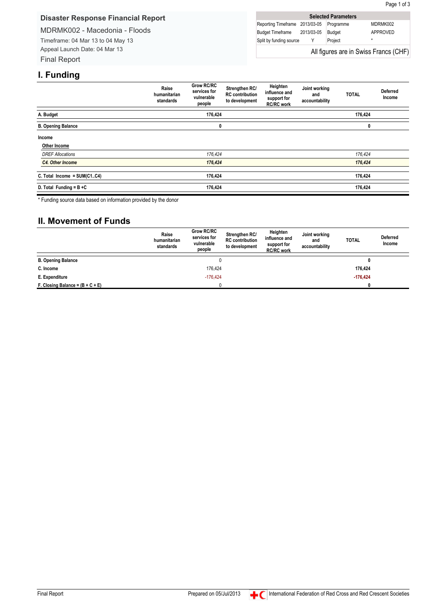### <span id="page-17-0"></span>**Disaster Response Financial Report**

MDRMK002 - Macedonia - Floods

Timeframe: 04 Mar 13 to 04 May 13 Appeal Launch Date: 04 Mar 13 Final Report

|                                | <b>Selected Parameters</b> |                                       |
|--------------------------------|----------------------------|---------------------------------------|
| Reporting Timeframe 2013/03-05 | Programme                  | MDRMK002                              |
| Budget Timeframe 2013/03-05    | <b>Budget</b>              | APPROVED                              |
| Split by funding source        | Project                    | $^\star$                              |
|                                |                            | All figures are in Swiss Francs (CHF) |

### **I. Funding**

|                             | Raise<br>humanitarian<br>standards | <b>Grow RC/RC</b><br>services for<br>vulnerable<br>people | Strengthen RC/<br><b>RC</b> contribution<br>to development | Heighten<br>influence and<br>support for<br><b>RC/RC work</b> | Joint working<br>and<br>accountability | <b>TOTAL</b> | <b>Deferred</b><br>Income |
|-----------------------------|------------------------------------|-----------------------------------------------------------|------------------------------------------------------------|---------------------------------------------------------------|----------------------------------------|--------------|---------------------------|
| A. Budget                   |                                    | 176,424                                                   |                                                            |                                                               |                                        | 176,424      |                           |
| <b>B. Opening Balance</b>   |                                    | 0                                                         |                                                            |                                                               |                                        | 0            |                           |
| Income                      |                                    |                                                           |                                                            |                                                               |                                        |              |                           |
| Other Income                |                                    |                                                           |                                                            |                                                               |                                        |              |                           |
| <b>DREF Allocations</b>     |                                    | 176,424                                                   |                                                            |                                                               |                                        | 176,424      |                           |
| <b>C4. Other Income</b>     |                                    | 176,424                                                   |                                                            |                                                               |                                        | 176,424      |                           |
| C. Total Income = SUM(C1C4) |                                    | 176,424                                                   |                                                            |                                                               |                                        | 176,424      |                           |
| D. Total Funding = $B + C$  |                                    | 176,424                                                   |                                                            |                                                               |                                        | 176,424      |                           |

\* Funding source data based on information provided by the donor

### **II. Movement of Funds**

|                                    | Raise<br>humanitarian<br>standards | Grow RC/RC<br>services for<br>vulnerable<br>people | Strengthen RC/<br><b>RC</b> contribution<br>to development | Heighten<br>influence and<br>support for<br><b>RC/RC</b> work | Joint working<br>and<br>accountability | <b>TOTAL</b> | <b>Deferred</b><br>Income |
|------------------------------------|------------------------------------|----------------------------------------------------|------------------------------------------------------------|---------------------------------------------------------------|----------------------------------------|--------------|---------------------------|
| <b>B. Opening Balance</b>          |                                    | 0                                                  |                                                            |                                                               |                                        | 0            |                           |
| C. Income                          |                                    | 176,424                                            |                                                            |                                                               |                                        | 176,424      |                           |
| E. Expenditure                     |                                    | $-176.424$                                         |                                                            |                                                               | $-176.424$                             |              |                           |
| F. Closing Balance = $(B + C + E)$ |                                    |                                                    |                                                            |                                                               |                                        |              |                           |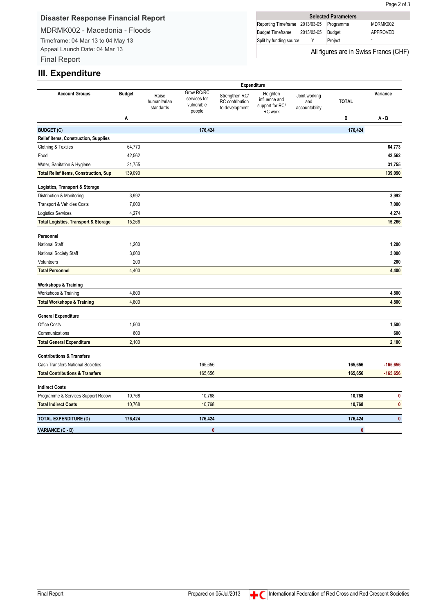### **Disaster Response Financial Report**

MDRMK002 - Macedonia - Floods

Timeframe: 04 Mar 13 to 04 May 13 Appeal Launch Date: 04 Mar 13 Final Report

| <b>Selected Parameters</b>            |            |               |          |  |  |  |
|---------------------------------------|------------|---------------|----------|--|--|--|
| Reporting Timeframe 2013/03-05        |            | Programme     | MDRMK002 |  |  |  |
| <b>Budget Timeframe</b>               | 2013/03-05 | <b>Budget</b> | APPROVED |  |  |  |
| Split by funding source               |            | Project       | ÷        |  |  |  |
| All figures are in Swiss Francs (CHF) |            |               |          |  |  |  |

### **III. Expenditure**

|                                                               | Expenditure   |                                    |                                                    |                                                     |                                                         |                                        |              |            |
|---------------------------------------------------------------|---------------|------------------------------------|----------------------------------------------------|-----------------------------------------------------|---------------------------------------------------------|----------------------------------------|--------------|------------|
| <b>Account Groups</b>                                         | <b>Budget</b> | Raise<br>humanitarian<br>standards | Grow RC/RC<br>services for<br>vulnerable<br>people | Strengthen RC/<br>RC contribution<br>to development | Heighten<br>influence and<br>support for RC/<br>RC work | Joint working<br>and<br>accountability | <b>TOTAL</b> | Variance   |
|                                                               | Α             |                                    |                                                    |                                                     |                                                         |                                        | B            | $A - B$    |
| <b>BUDGET (C)</b>                                             |               |                                    | 176,424                                            |                                                     |                                                         |                                        | 176,424      |            |
| Relief items, Construction, Supplies                          |               |                                    |                                                    |                                                     |                                                         |                                        |              |            |
| Clothing & Textiles                                           | 64,773        |                                    |                                                    |                                                     |                                                         |                                        |              | 64,773     |
| Food                                                          | 42,562        |                                    |                                                    |                                                     |                                                         |                                        |              | 42,562     |
| Water, Sanitation & Hygiene                                   | 31,755        |                                    |                                                    |                                                     |                                                         |                                        |              | 31,755     |
| <b>Total Relief items, Construction, Sup</b>                  | 139,090       |                                    |                                                    |                                                     |                                                         |                                        |              | 139,090    |
| Logistics, Transport & Storage                                |               |                                    |                                                    |                                                     |                                                         |                                        |              |            |
| Distribution & Monitoring                                     | 3,992         |                                    |                                                    |                                                     |                                                         |                                        |              | 3,992      |
| Transport & Vehicles Costs                                    | 7,000         |                                    |                                                    |                                                     |                                                         |                                        |              | 7,000      |
| Logistics Services                                            | 4,274         |                                    |                                                    |                                                     |                                                         |                                        |              | 4,274      |
| <b>Total Logistics, Transport &amp; Storage</b>               | 15,266        |                                    |                                                    |                                                     |                                                         |                                        |              | 15,266     |
|                                                               |               |                                    |                                                    |                                                     |                                                         |                                        |              |            |
| Personnel<br>National Staff                                   | 1,200         |                                    |                                                    |                                                     |                                                         |                                        |              | 1,200      |
| National Society Staff                                        | 3,000         |                                    |                                                    |                                                     |                                                         |                                        |              | 3,000      |
| Volunteers                                                    | 200           |                                    |                                                    |                                                     |                                                         |                                        |              | 200        |
| <b>Total Personnel</b>                                        | 4,400         |                                    |                                                    |                                                     |                                                         |                                        |              | 4,400      |
|                                                               |               |                                    |                                                    |                                                     |                                                         |                                        |              |            |
| <b>Workshops &amp; Training</b>                               | 4,800         |                                    |                                                    |                                                     |                                                         |                                        |              | 4,800      |
| Workshops & Training<br><b>Total Workshops &amp; Training</b> | 4,800         |                                    |                                                    |                                                     |                                                         |                                        |              | 4,800      |
|                                                               |               |                                    |                                                    |                                                     |                                                         |                                        |              |            |
| <b>General Expenditure</b>                                    |               |                                    |                                                    |                                                     |                                                         |                                        |              |            |
| Office Costs                                                  | 1,500         |                                    |                                                    |                                                     |                                                         |                                        |              | 1,500      |
| Communications                                                | 600           |                                    |                                                    |                                                     |                                                         |                                        |              | 600        |
| <b>Total General Expenditure</b>                              | 2,100         |                                    |                                                    |                                                     |                                                         |                                        |              | 2,100      |
| <b>Contributions &amp; Transfers</b>                          |               |                                    |                                                    |                                                     |                                                         |                                        |              |            |
| <b>Cash Transfers National Societies</b>                      |               |                                    | 165,656                                            |                                                     |                                                         |                                        | 165,656      | $-165,656$ |
| <b>Total Contributions &amp; Transfers</b>                    |               |                                    | 165,656                                            |                                                     |                                                         |                                        | 165,656      | $-165,656$ |
| <b>Indirect Costs</b>                                         |               |                                    |                                                    |                                                     |                                                         |                                        |              |            |
| Programme & Services Support Recove                           | 10,768        |                                    | 10,768                                             |                                                     |                                                         |                                        | 10,768       | 0          |
| <b>Total Indirect Costs</b>                                   | 10,768        |                                    | 10,768                                             |                                                     |                                                         |                                        | 10,768       | $\pmb{0}$  |
| <b>TOTAL EXPENDITURE (D)</b>                                  | 176,424       |                                    | 176,424                                            |                                                     |                                                         |                                        | 176,424      | $\pmb{0}$  |
| VARIANCE (C - D)                                              |               |                                    | $\mathbf{0}$                                       |                                                     |                                                         |                                        | $\mathbf{0}$ |            |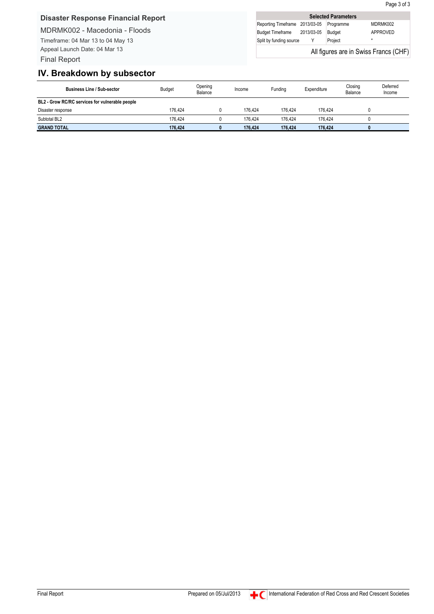MDRMK002 - Macedonia - Floods

Timeframe: 04 Mar 13 to 04 May 13 Appeal Launch Date: 04 Mar 13 Final Report

|                                       | <b>Selected Parameters</b> |               |          |  |  |  |  |
|---------------------------------------|----------------------------|---------------|----------|--|--|--|--|
| Reporting Timeframe 2013/03-05        |                            | Programme     | MDRMK002 |  |  |  |  |
| <b>Budget Timeframe</b>               | 2013/03-05                 | <b>Budget</b> | APPROVED |  |  |  |  |
| Split by funding source               |                            | Project       | $\star$  |  |  |  |  |
| All figures are in Swiss Francs (CHF) |                            |               |          |  |  |  |  |

### **IV. Breakdown by subsector**

| <b>Business Line / Sub-sector</b>               | <b>Budget</b> | Opening<br>Balance | Income  | Fundina | Expenditure | Closing<br>Balance | Deferred<br>Income |
|-------------------------------------------------|---------------|--------------------|---------|---------|-------------|--------------------|--------------------|
| BL2 - Grow RC/RC services for vulnerable people |               |                    |         |         |             |                    |                    |
| Disaster response                               | 176.424       |                    | 176.424 | 176.424 | 176.424     |                    |                    |
| Subtotal BL2                                    | 176.424       |                    | 176.424 | 176.424 | 176.424     |                    |                    |
| <b>GRAND TOTAL</b>                              | 176.424       |                    | 176.424 | 176.424 | 176.424     |                    |                    |